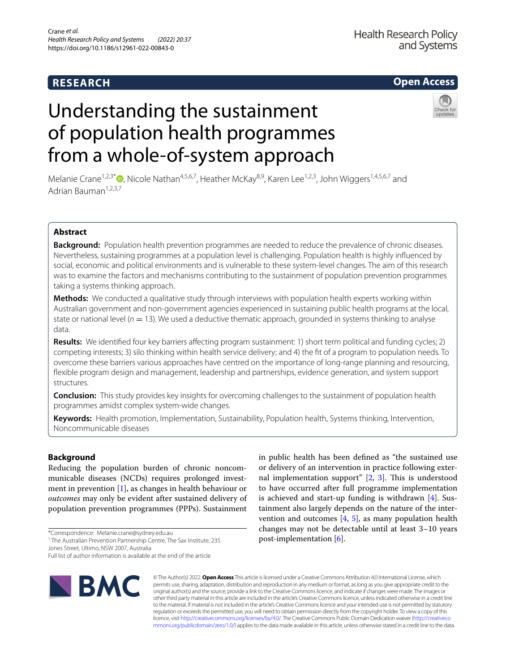# **RESEARCH**

# **Open Access**

# Understanding the sustainment of population health programmes from a whole-of-system approach

Melanie Crane<sup>1,2,3[\\*](http://orcid.org/0000-0002-3058-2211)</sup>  $\bullet$ , Nicole Nathan<sup>4,5,6,7</sup>, Heather McKay<sup>8,9</sup>, Karen Lee<sup>1,2,3</sup>, John Wiggers<sup>1,4,5,6,7</sup> and Adrian Bauman<sup>1,2,3,7</sup>

# **Abstract**

**Background:** Population health prevention programmes are needed to reduce the prevalence of chronic diseases. Nevertheless, sustaining programmes at a population level is challenging. Population health is highly infuenced by social, economic and political environments and is vulnerable to these system-level changes. The aim of this research was to examine the factors and mechanisms contributing to the sustainment of population prevention programmes taking a systems thinking approach.

**Methods:** We conducted a qualitative study through interviews with population health experts working within Australian government and non-government agencies experienced in sustaining public health programs at the local, state or national level ( $n = 13$ ). We used a deductive thematic approach, grounded in systems thinking to analyse data.

**Results:** We identifed four key barriers afecting program sustainment: 1) short term political and funding cycles; 2) competing interests; 3) silo thinking within health service delivery; and 4) the ft of a program to population needs. To overcome these barriers various approaches have centred on the importance of long-range planning and resourcing, fexible program design and management, leadership and partnerships, evidence generation, and system support structures.

**Conclusion:** This study provides key insights for overcoming challenges to the sustainment of population health programmes amidst complex system-wide changes.

**Keywords:** Health promotion, Implementation, Sustainability, Population health, Systems thinking, Intervention, Noncommunicable diseases

# **Background**

Reducing the population burden of chronic noncommunicable diseases (NCDs) requires prolonged investment in prevention [[1\]](#page-10-0), as changes in health behaviour or *outcomes* may only be evident after sustained delivery of population prevention programmes (PPPs). Sustainment

\*Correspondence: Melanie.crane@sydney.edu.au

<sup>1</sup> The Australian Prevention Partnership Centre, The Sax Institute, 235

Jones Street, Ultimo, NSW 2007, Australia

Full list of author information is available at the end of the article



in public health has been defned as "the sustained use or delivery of an intervention in practice following external implementation support"  $[2, 3]$  $[2, 3]$  $[2, 3]$  $[2, 3]$ . This is understood to have occurred after full programme implementation is achieved and start-up funding is withdrawn [[4\]](#page-10-3). Sustainment also largely depends on the nature of the intervention and outcomes [[4](#page-10-3), [5\]](#page-10-4), as many population health changes may not be detectable until at least 3–10 years post-implementation [\[6](#page-10-5)].

© The Author(s) 2022. **Open Access** This article is licensed under a Creative Commons Attribution 4.0 International License, which permits use, sharing, adaptation, distribution and reproduction in any medium or format, as long as you give appropriate credit to the original author(s) and the source, provide a link to the Creative Commons licence, and indicate if changes were made. The images or other third party material in this article are included in the article's Creative Commons licence, unless indicated otherwise in a credit line to the material. If material is not included in the article's Creative Commons licence and your intended use is not permitted by statutory regulation or exceeds the permitted use, you will need to obtain permission directly from the copyright holder. To view a copy of this licence, visit [http://creativecommons.org/licenses/by/4.0/.](http://creativecommons.org/licenses/by/4.0/) The Creative Commons Public Domain Dedication waiver ([http://creativeco](http://creativecommons.org/publicdomain/zero/1.0/) [mmons.org/publicdomain/zero/1.0/](http://creativecommons.org/publicdomain/zero/1.0/)) applies to the data made available in this article, unless otherwise stated in a credit line to the data.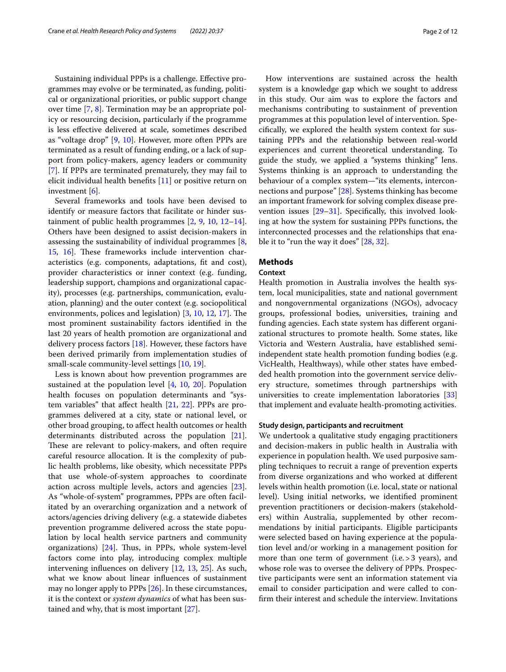Sustaining individual PPPs is a challenge. Efective programmes may evolve or be terminated, as funding, political or organizational priorities, or public support change over time [[7,](#page-10-6) [8\]](#page-10-7). Termination may be an appropriate policy or resourcing decision, particularly if the programme is less efective delivered at scale, sometimes described as "voltage drop" [[9,](#page-10-8) [10](#page-10-9)]. However, more often PPPs are terminated as a result of funding ending, or a lack of support from policy-makers, agency leaders or community [[7\]](#page-10-6). If PPPs are terminated prematurely, they may fail to elicit individual health benefts [\[11](#page-10-10)] or positive return on investment [[6\]](#page-10-5).

Several frameworks and tools have been devised to identify or measure factors that facilitate or hinder sustainment of public health programmes [[2,](#page-10-1) [9,](#page-10-8) [10](#page-10-9), [12](#page-10-11)[–14](#page-10-12)]. Others have been designed to assist decision-makers in assessing the sustainability of individual programmes [\[8](#page-10-7), [15,](#page-10-13) 16. These frameworks include intervention characteristics (e.g. components, adaptations, ft and cost), provider characteristics or inner context (e.g. funding, leadership support, champions and organizational capacity), processes (e.g. partnerships, communication, evaluation, planning) and the outer context (e.g. sociopolitical environments, polices and legislation)  $[3, 10, 12, 17]$  $[3, 10, 12, 17]$  $[3, 10, 12, 17]$  $[3, 10, 12, 17]$  $[3, 10, 12, 17]$  $[3, 10, 12, 17]$  $[3, 10, 12, 17]$  $[3, 10, 12, 17]$ . The most prominent sustainability factors identifed in the last 20 years of health promotion are organizational and delivery process factors [[18](#page-10-16)]. However, these factors have been derived primarily from implementation studies of small-scale community-level settings [[10,](#page-10-9) [19](#page-10-17)].

Less is known about how prevention programmes are sustained at the population level [[4,](#page-10-3) [10](#page-10-9), [20\]](#page-10-18). Population health focuses on population determinants and "system variables" that afect health [[21,](#page-10-19) [22](#page-10-20)]. PPPs are programmes delivered at a city, state or national level, or other broad grouping, to afect health outcomes or health determinants distributed across the population [\[21](#page-10-19)]. These are relevant to policy-makers, and often require careful resource allocation. It is the complexity of public health problems, like obesity, which necessitate PPPs that use whole-of-system approaches to coordinate action across multiple levels, actors and agencies [\[23](#page-10-21)]. As "whole-of-system" programmes, PPPs are often facilitated by an overarching organization and a network of actors/agencies driving delivery (e.g. a statewide diabetes prevention programme delivered across the state population by local health service partners and community organizations)  $[24]$  $[24]$ . Thus, in PPPs, whole system-level factors come into play, introducing complex multiple intervening infuences on delivery [\[12](#page-10-11), [13,](#page-10-23) [25](#page-10-24)]. As such, what we know about linear infuences of sustainment may no longer apply to PPPs [\[26](#page-10-25)]. In these circumstances, it is the context or *system dynamics* of what has been sustained and why, that is most important [\[27\]](#page-10-26).

How interventions are sustained across the health system is a knowledge gap which we sought to address in this study. Our aim was to explore the factors and mechanisms contributing to sustainment of prevention programmes at this population level of intervention. Specifcally, we explored the health system context for sustaining PPPs and the relationship between real-world experiences and current theoretical understanding. To guide the study, we applied a "systems thinking" lens. Systems thinking is an approach to understanding the behaviour of a complex system—"its elements, interconnections and purpose" [\[28](#page-10-27)]. Systems thinking has become an important framework for solving complex disease prevention issues [\[29](#page-11-0)[–31](#page-11-1)]. Specifcally, this involved looking at how the system for sustaining PPPs functions, the interconnected processes and the relationships that enable it to "run the way it does" [\[28](#page-10-27), [32](#page-11-2)].

#### **Methods**

#### **Context**

Health promotion in Australia involves the health system, local municipalities, state and national government and nongovernmental organizations (NGOs), advocacy groups, professional bodies, universities, training and funding agencies. Each state system has diferent organizational structures to promote health. Some states, like Victoria and Western Australia, have established semiindependent state health promotion funding bodies (e.g. VicHealth, Healthways), while other states have embedded health promotion into the government service delivery structure, sometimes through partnerships with universities to create implementation laboratories [[33](#page-11-3)] that implement and evaluate health-promoting activities.

#### **Study design, participants and recruitment**

We undertook a qualitative study engaging practitioners and decision-makers in public health in Australia with experience in population health. We used purposive sampling techniques to recruit a range of prevention experts from diverse organizations and who worked at diferent levels within health promotion (i.e. local, state or national level). Using initial networks, we identifed prominent prevention practitioners or decision-makers (stakeholders) within Australia, supplemented by other recommendations by initial participants. Eligible participants were selected based on having experience at the population level and/or working in a management position for more than one term of government (i.e.>3 years), and whose role was to oversee the delivery of PPPs. Prospective participants were sent an information statement via email to consider participation and were called to confrm their interest and schedule the interview. Invitations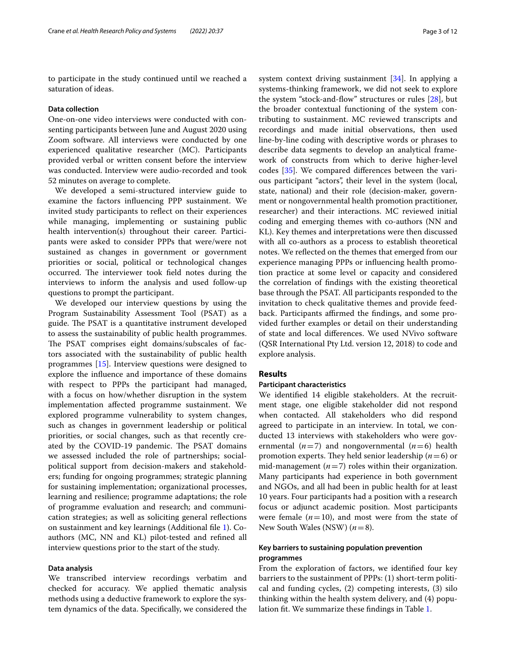to participate in the study continued until we reached a saturation of ideas.

#### **Data collection**

One-on-one video interviews were conducted with consenting participants between June and August 2020 using Zoom software. All interviews were conducted by one experienced qualitative researcher (MC). Participants provided verbal or written consent before the interview was conducted. Interview were audio-recorded and took 52 minutes on average to complete.

We developed a semi-structured interview guide to examine the factors infuencing PPP sustainment. We invited study participants to refect on their experiences while managing, implementing or sustaining public health intervention(s) throughout their career. Participants were asked to consider PPPs that were/were not sustained as changes in government or government priorities or social, political or technological changes occurred. The interviewer took field notes during the interviews to inform the analysis and used follow-up questions to prompt the participant.

We developed our interview questions by using the Program Sustainability Assessment Tool (PSAT) as a guide. The PSAT is a quantitative instrument developed to assess the sustainability of public health programmes. The PSAT comprises eight domains/subscales of factors associated with the sustainability of public health programmes [\[15](#page-10-13)]. Interview questions were designed to explore the infuence and importance of these domains with respect to PPPs the participant had managed, with a focus on how/whether disruption in the system implementation afected programme sustainment. We explored programme vulnerability to system changes, such as changes in government leadership or political priorities, or social changes, such as that recently created by the COVID-19 pandemic. The PSAT domains we assessed included the role of partnerships; socialpolitical support from decision-makers and stakeholders; funding for ongoing programmes; strategic planning for sustaining implementation; organizational processes, learning and resilience; programme adaptations; the role of programme evaluation and research; and communication strategies; as well as soliciting general refections on sustainment and key learnings (Additional fle [1\)](#page-9-0). Coauthors (MC, NN and KL) pilot-tested and refned all interview questions prior to the start of the study.

#### **Data analysis**

We transcribed interview recordings verbatim and checked for accuracy. We applied thematic analysis methods using a deductive framework to explore the system dynamics of the data. Specifcally, we considered the

system context driving sustainment [[34](#page-11-4)]. In applying a systems-thinking framework, we did not seek to explore the system "stock-and-fow" structures or rules [\[28](#page-10-27)], but the broader contextual functioning of the system contributing to sustainment. MC reviewed transcripts and recordings and made initial observations, then used line-by-line coding with descriptive words or phrases to describe data segments to develop an analytical framework of constructs from which to derive higher-level codes [[35\]](#page-11-5). We compared diferences between the various participant "actors", their level in the system (local, state, national) and their role (decision-maker, government or nongovernmental health promotion practitioner, researcher) and their interactions. MC reviewed initial coding and emerging themes with co-authors (NN and KL). Key themes and interpretations were then discussed with all co-authors as a process to establish theoretical notes. We refected on the themes that emerged from our experience managing PPPs or infuencing health promotion practice at some level or capacity and considered the correlation of fndings with the existing theoretical base through the PSAT. All participants responded to the invitation to check qualitative themes and provide feedback. Participants affirmed the findings, and some provided further examples or detail on their understanding of state and local diferences. We used NVivo software (QSR International Pty Ltd. version 12, 2018) to code and explore analysis.

### **Results**

#### **Participant characteristics**

We identifed 14 eligible stakeholders. At the recruitment stage, one eligible stakeholder did not respond when contacted. All stakeholders who did respond agreed to participate in an interview. In total, we conducted 13 interviews with stakeholders who were governmental  $(n=7)$  and nongovernmental  $(n=6)$  health promotion experts. They held senior leadership  $(n=6)$  or mid-management  $(n=7)$  roles within their organization. Many participants had experience in both government and NGOs, and all had been in public health for at least 10 years. Four participants had a position with a research focus or adjunct academic position. Most participants were female  $(n=10)$ , and most were from the state of New South Wales (NSW) (*n*=8).

#### **Key barriers to sustaining population prevention programmes**

From the exploration of factors, we identifed four key barriers to the sustainment of PPPs: (1) short-term political and funding cycles, (2) competing interests, (3) silo thinking within the health system delivery, and (4) population ft. We summarize these fndings in Table [1](#page-3-0).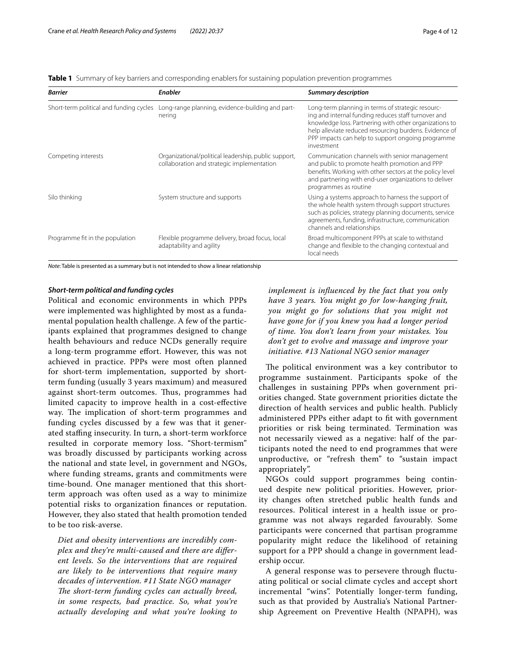<span id="page-3-0"></span>

|  |  | Table 1 Summary of key barriers and corresponding enablers for sustaining population prevention programmes |  |  |  |
|--|--|------------------------------------------------------------------------------------------------------------|--|--|--|
|  |  |                                                                                                            |  |  |  |

| <b>Barrier</b>                          | <b>Enabler</b>                                                                                     | <b>Summary description</b>                                                                                                                                                                                                                                                                      |
|-----------------------------------------|----------------------------------------------------------------------------------------------------|-------------------------------------------------------------------------------------------------------------------------------------------------------------------------------------------------------------------------------------------------------------------------------------------------|
| Short-term political and funding cycles | Long-range planning, evidence-building and part-<br>nering                                         | Long-term planning in terms of strategic resourc-<br>ing and internal funding reduces staff turnover and<br>knowledge loss. Partnering with other organizations to<br>help alleviate reduced resourcing burdens. Evidence of<br>PPP impacts can help to support ongoing programme<br>investment |
| Competing interests                     | Organizational/political leadership, public support,<br>collaboration and strategic implementation | Communication channels with senior management<br>and public to promote health promotion and PPP<br>benefits. Working with other sectors at the policy level<br>and partnering with end-user organizations to deliver<br>programmes as routine                                                   |
| Silo thinking                           | System structure and supports                                                                      | Using a systems approach to harness the support of<br>the whole health system through support structures<br>such as policies, strategy planning documents, service<br>agreements, funding, infrastructure, communication<br>channels and relationships                                          |
| Programme fit in the population         | Flexible programme delivery, broad focus, local<br>adaptability and agility                        | Broad multicomponent PPPs at scale to withstand<br>change and flexible to the changing contextual and<br>local needs                                                                                                                                                                            |

*Note*: Table is presented as a summary but is not intended to show a linear relationship

#### *Short‑term political and funding cycles*

Political and economic environments in which PPPs were implemented was highlighted by most as a fundamental population health challenge. A few of the participants explained that programmes designed to change health behaviours and reduce NCDs generally require a long-term programme efort. However, this was not achieved in practice. PPPs were most often planned for short-term implementation, supported by shortterm funding (usually 3 years maximum) and measured against short-term outcomes. Thus, programmes had limited capacity to improve health in a cost-efective way. The implication of short-term programmes and funding cycles discussed by a few was that it generated stafng insecurity. In turn, a short-term workforce resulted in corporate memory loss. "Short-termism" was broadly discussed by participants working across the national and state level, in government and NGOs, where funding streams, grants and commitments were time-bound. One manager mentioned that this shortterm approach was often used as a way to minimize potential risks to organization fnances or reputation. However, they also stated that health promotion tended to be too risk-averse.

*Diet and obesity interventions are incredibly complex and they're multi-caused and there are diferent levels. So the interventions that are required are likely to be interventions that require many decades of intervention. #11 State NGO manager* The short-term funding cycles can actually breed, *in some respects, bad practice. So, what you're actually developing and what you're looking to* 

*implement is infuenced by the fact that you only have 3 years. You might go for low-hanging fruit, you might go for solutions that you might not have gone for if you knew you had a longer period of time. You don't learn from your mistakes. You don't get to evolve and massage and improve your initiative. #13 National NGO senior manager*

The political environment was a key contributor to programme sustainment. Participants spoke of the challenges in sustaining PPPs when government priorities changed. State government priorities dictate the direction of health services and public health. Publicly administered PPPs either adapt to ft with government priorities or risk being terminated. Termination was not necessarily viewed as a negative: half of the participants noted the need to end programmes that were unproductive, or "refresh them" to "sustain impact appropriately".

NGOs could support programmes being continued despite new political priorities. However, priority changes often stretched public health funds and resources. Political interest in a health issue or programme was not always regarded favourably. Some participants were concerned that partisan programme popularity might reduce the likelihood of retaining support for a PPP should a change in government leadership occur.

A general response was to persevere through fuctuating political or social climate cycles and accept short incremental "wins". Potentially longer-term funding, such as that provided by Australia's National Partnership Agreement on Preventive Health (NPAPH), was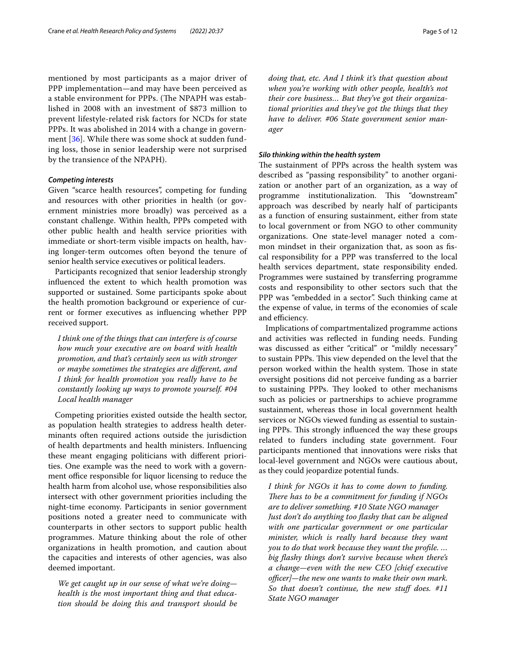mentioned by most participants as a major driver of PPP implementation—and may have been perceived as a stable environment for PPPs. (The NPAPH was established in 2008 with an investment of \$873 million to prevent lifestyle-related risk factors for NCDs for state PPPs. It was abolished in 2014 with a change in government [\[36](#page-11-6)]. While there was some shock at sudden funding loss, those in senior leadership were not surprised by the transience of the NPAPH).

#### *Competing interests*

Given "scarce health resources", competing for funding and resources with other priorities in health (or government ministries more broadly) was perceived as a constant challenge. Within health, PPPs competed with other public health and health service priorities with immediate or short-term visible impacts on health, having longer-term outcomes often beyond the tenure of senior health service executives or political leaders.

Participants recognized that senior leadership strongly infuenced the extent to which health promotion was supported or sustained. Some participants spoke about the health promotion background or experience of current or former executives as infuencing whether PPP received support.

*I think one of the things that can interfere is of course how much your executive are on board with health promotion, and that's certainly seen us with stronger or maybe sometimes the strategies are diferent, and I think for health promotion you really have to be constantly looking up ways to promote yourself. #04 Local health manager*

Competing priorities existed outside the health sector, as population health strategies to address health determinants often required actions outside the jurisdiction of health departments and health ministers. Infuencing these meant engaging politicians with diferent priorities. One example was the need to work with a government office responsible for liquor licensing to reduce the health harm from alcohol use, whose responsibilities also intersect with other government priorities including the night-time economy. Participants in senior government positions noted a greater need to communicate with counterparts in other sectors to support public health programmes. Mature thinking about the role of other organizations in health promotion, and caution about the capacities and interests of other agencies, was also deemed important.

*We get caught up in our sense of what we're doing health is the most important thing and that education should be doing this and transport should be*  *doing that, etc. And I think it's that question about when you're working with other people, health's not their core business… But they've got their organizational priorities and they've got the things that they have to deliver. #06 State government senior manager*

#### *Silo thinking within the health system*

The sustainment of PPPs across the health system was described as "passing responsibility" to another organization or another part of an organization, as a way of programme institutionalization. This "downstream" approach was described by nearly half of participants as a function of ensuring sustainment, either from state to local government or from NGO to other community organizations. One state-level manager noted a common mindset in their organization that, as soon as fscal responsibility for a PPP was transferred to the local health services department, state responsibility ended. Programmes were sustained by transferring programme costs and responsibility to other sectors such that the PPP was "embedded in a sector". Such thinking came at the expense of value, in terms of the economies of scale and efficiency.

Implications of compartmentalized programme actions and activities was refected in funding needs. Funding was discussed as either "critical" or "mildly necessary" to sustain PPPs. This view depended on the level that the person worked within the health system. Those in state oversight positions did not perceive funding as a barrier to sustaining PPPs. They looked to other mechanisms such as policies or partnerships to achieve programme sustainment, whereas those in local government health services or NGOs viewed funding as essential to sustaining PPPs. This strongly influenced the way these groups related to funders including state government. Four participants mentioned that innovations were risks that local-level government and NGOs were cautious about, as they could jeopardize potential funds.

*I think for NGOs it has to come down to funding. There has to be a commitment for funding if NGOs are to deliver something. #10 State NGO manager Just don't do anything too fashy that can be aligned with one particular government or one particular minister, which is really hard because they want you to do that work because they want the profle. … big fashy things don't survive because when there's a change—even with the new CEO [chief executive officer]—the new one wants to make their own mark. So that doesn't continue, the new stuf does. #11 State NGO manager*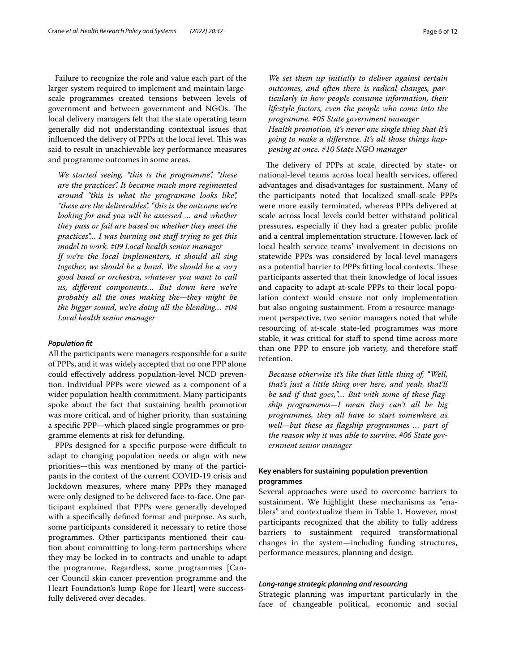Failure to recognize the role and value each part of the larger system required to implement and maintain largescale programmes created tensions between levels of government and between government and NGOs. The local delivery managers felt that the state operating team generally did not understanding contextual issues that influenced the delivery of PPPs at the local level. This was said to result in unachievable key performance measures and programme outcomes in some areas.

*We started seeing, "this is the programme", "these are the practices". It became much more regimented around "this is what the programme looks like", "these are the deliverables", "this is the outcome we're looking for and you will be assessed … and whether they pass or fail are based on whether they meet the practices"... I was burning out staff trying to get this model to work. #09 Local health senior manager If we're the local implementers, it should all sing together, we should be a band. We should be a very good band or orchestra, whatever you want to call us, diferent components… But down here we're probably all the ones making the—they might be the bigger sound, we're doing all the blending… #04 Local health senior manager*

#### *Population ft*

All the participants were managers responsible for a suite of PPPs, and it was widely accepted that no one PPP alone could efectively address population-level NCD prevention. Individual PPPs were viewed as a component of a wider population health commitment. Many participants spoke about the fact that sustaining health promotion was more critical, and of higher priority, than sustaining a specifc PPP—which placed single programmes or programme elements at risk for defunding.

PPPs designed for a specific purpose were difficult to adapt to changing population needs or align with new priorities—this was mentioned by many of the participants in the context of the current COVID-19 crisis and lockdown measures, where many PPPs they managed were only designed to be delivered face-to-face. One participant explained that PPPs were generally developed with a specifcally defned format and purpose. As such, some participants considered it necessary to retire those programmes. Other participants mentioned their caution about committing to long-term partnerships where they may be locked in to contracts and unable to adapt the programme. Regardless, some programmes [Cancer Council skin cancer prevention programme and the Heart Foundation's Jump Rope for Heart] were successfully delivered over decades.

*We set them up initially to deliver against certain outcomes, and often there is radical changes, particularly in how people consume information, their lifestyle factors, even the people who come into the programme. #05 State government manager Health promotion, it's never one single thing that it's going to make a diference. It's all those things happening at once. #10 State NGO manager*

The delivery of PPPs at scale, directed by state- or national-level teams across local health services, ofered advantages and disadvantages for sustainment. Many of the participants noted that localized small-scale PPPs were more easily terminated, whereas PPPs delivered at scale across local levels could better withstand political pressures, especially if they had a greater public profle and a central implementation structure. However, lack of local health service teams' involvement in decisions on statewide PPPs was considered by local-level managers as a potential barrier to PPPs fitting local contexts. These participants asserted that their knowledge of local issues and capacity to adapt at-scale PPPs to their local population context would ensure not only implementation but also ongoing sustainment. From a resource management perspective, two senior managers noted that while resourcing of at-scale state-led programmes was more stable, it was critical for staff to spend time across more than one PPP to ensure job variety, and therefore staf retention.

*Because otherwise it's like that little thing of, "Well, that's just a little thing over here, and yeah, that'll be sad if that goes,"… But with some of these fagship programmes—I mean they can't all be big programmes, they all have to start somewhere as well—but these as fagship programmes … part of the reason why it was able to survive. #06 State government senior manager*

## **Key enablers for sustaining population prevention programmes**

Several approaches were used to overcome barriers to sustainment. We highlight these mechanisms as "enablers" and contextualize them in Table [1.](#page-3-0) However, most participants recognized that the ability to fully address barriers to sustainment required transformational changes in the system—including funding structures, performance measures, planning and design.

#### *Long‑range strategic planning and resourcing*

Strategic planning was important particularly in the face of changeable political, economic and social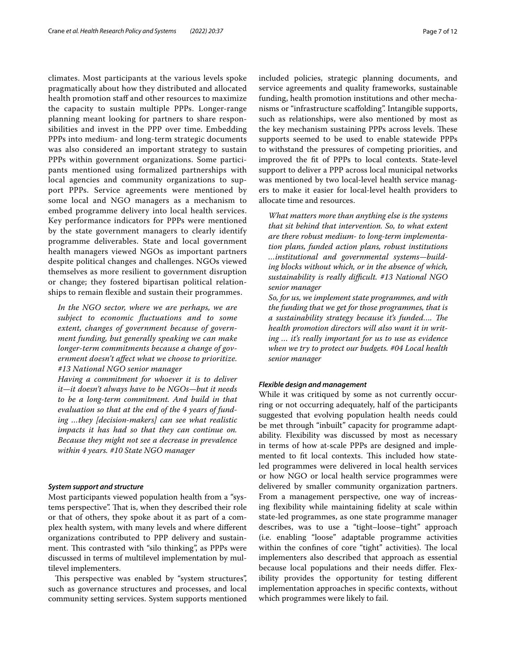climates. Most participants at the various levels spoke pragmatically about how they distributed and allocated health promotion staff and other resources to maximize the capacity to sustain multiple PPPs. Longer-range planning meant looking for partners to share responsibilities and invest in the PPP over time. Embedding PPPs into medium- and long-term strategic documents was also considered an important strategy to sustain PPPs within government organizations. Some participants mentioned using formalized partnerships with local agencies and community organizations to support PPPs. Service agreements were mentioned by some local and NGO managers as a mechanism to embed programme delivery into local health services. Key performance indicators for PPPs were mentioned by the state government managers to clearly identify programme deliverables. State and local government health managers viewed NGOs as important partners despite political changes and challenges. NGOs viewed themselves as more resilient to government disruption or change; they fostered bipartisan political relationships to remain flexible and sustain their programmes.

*In the NGO sector, where we are perhaps, we are subject to economic fuctuations and to some extent, changes of government because of government funding, but generally speaking we can make longer-term commitments because a change of government doesn't afect what we choose to prioritize. #13 National NGO senior manager*

*Having a commitment for whoever it is to deliver it—it doesn't always have to be NGOs—but it needs to be a long-term commitment. And build in that evaluation so that at the end of the 4 years of funding …they [decision-makers] can see what realistic impacts it has had so that they can continue on. Because they might not see a decrease in prevalence within 4 years. #10 State NGO manager*

#### *System support and structure*

Most participants viewed population health from a "systems perspective". That is, when they described their role or that of others, they spoke about it as part of a complex health system, with many levels and where diferent organizations contributed to PPP delivery and sustainment. This contrasted with "silo thinking", as PPPs were discussed in terms of multilevel implementation by multilevel implementers.

This perspective was enabled by "system structures", such as governance structures and processes, and local community setting services. System supports mentioned included policies, strategic planning documents, and service agreements and quality frameworks, sustainable funding, health promotion institutions and other mechanisms or "infrastructure scafolding". Intangible supports, such as relationships, were also mentioned by most as the key mechanism sustaining PPPs across levels. These supports seemed to be used to enable statewide PPPs to withstand the pressures of competing priorities, and improved the ft of PPPs to local contexts. State-level support to deliver a PPP across local municipal networks was mentioned by two local-level health service managers to make it easier for local-level health providers to allocate time and resources.

*What matters more than anything else is the systems that sit behind that intervention. So, to what extent are there robust medium- to long-term implementation plans, funded action plans, robust institutions …institutional and governmental systems—building blocks without which, or in the absence of which, sustainability is really difcult. #13 National NGO senior manager*

*So, for us, we implement state programmes, and with the funding that we get for those programmes, that is a sustainability strategy because it's funded…. Te health promotion directors will also want it in writing … it's really important for us to use as evidence when we try to protect our budgets. #04 Local health senior manager*

#### *Flexible design and management*

While it was critiqued by some as not currently occurring or not occurring adequately, half of the participants suggested that evolving population health needs could be met through "inbuilt" capacity for programme adaptability. Flexibility was discussed by most as necessary in terms of how at-scale PPPs are designed and implemented to fit local contexts. This included how stateled programmes were delivered in local health services or how NGO or local health service programmes were delivered by smaller community organization partners. From a management perspective, one way of increasing flexibility while maintaining fidelity at scale within state-led programmes, as one state programme manager describes, was to use a "tight–loose–tight" approach (i.e. enabling "loose" adaptable programme activities within the confines of core "tight" activities). The local implementers also described that approach as essential because local populations and their needs difer. Flexibility provides the opportunity for testing diferent implementation approaches in specifc contexts, without which programmes were likely to fail.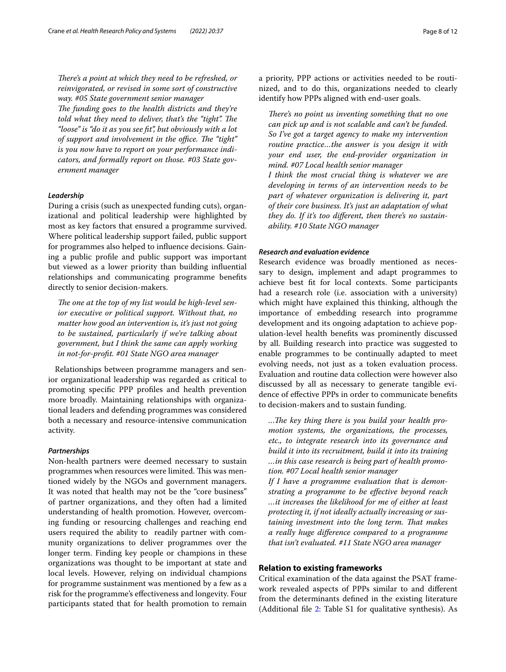There's a point at which they need to be refreshed, or *reinvigorated, or revised in some sort of constructive way. #05 State government senior manager The funding goes to the health districts and they're* told what they need to deliver, that's the "tight". The *"loose" is "do it as you see ft", but obviously with a lot*  of support and involvement in the office. The "tight" *is you now have to report on your performance indicators, and formally report on those. #03 State government manager*

#### *Leadership*

During a crisis (such as unexpected funding cuts), organizational and political leadership were highlighted by most as key factors that ensured a programme survived. Where political leadership support failed, public support for programmes also helped to infuence decisions. Gaining a public profle and public support was important but viewed as a lower priority than building infuential relationships and communicating programme benefts directly to senior decision-makers.

The one at the top of my list would be high-level sen*ior executive or political support. Without that, no matter how good an intervention is, it's just not going to be sustained, particularly if we're talking about government, but I think the same can apply working in not-for-proft. #01 State NGO area manager*

Relationships between programme managers and senior organizational leadership was regarded as critical to promoting specifc PPP profles and health prevention more broadly. Maintaining relationships with organizational leaders and defending programmes was considered both a necessary and resource-intensive communication activity.

#### *Partnerships*

Non-health partners were deemed necessary to sustain programmes when resources were limited. This was mentioned widely by the NGOs and government managers. It was noted that health may not be the "core business" of partner organizations, and they often had a limited understanding of health promotion. However, overcoming funding or resourcing challenges and reaching end users required the ability to readily partner with community organizations to deliver programmes over the longer term. Finding key people or champions in these organizations was thought to be important at state and local levels. However, relying on individual champions for programme sustainment was mentioned by a few as a risk for the programme's efectiveness and longevity. Four participants stated that for health promotion to remain a priority, PPP actions or activities needed to be routinized, and to do this, organizations needed to clearly identify how PPPs aligned with end-user goals.

*There's no point us inventing something that no one can pick up and is not scalable and can't be funded. So I've got a target agency to make my intervention routine practice…the answer is you design it with your end user, the end-provider organization in mind. #07 Local health senior manager*

*I think the most crucial thing is whatever we are developing in terms of an intervention needs to be part of whatever organization is delivering it, part of their core business. It's just an adaptation of what they do. If it's too diferent, then there's no sustainability. #10 State NGO manager*

#### *Research and evaluation evidence*

Research evidence was broadly mentioned as necessary to design, implement and adapt programmes to achieve best ft for local contexts. Some participants had a research role (i.e. association with a university) which might have explained this thinking, although the importance of embedding research into programme development and its ongoing adaptation to achieve population-level health benefts was prominently discussed by all. Building research into practice was suggested to enable programmes to be continually adapted to meet evolving needs, not just as a token evaluation process. Evaluation and routine data collection were however also discussed by all as necessary to generate tangible evidence of efective PPPs in order to communicate benefts to decision-makers and to sustain funding.

...The key thing there is you build your health pro*motion systems, the organizations, the processes, etc., to integrate research into its governance and build it into its recruitment, build it into its training …in this case research is being part of health promotion. #07 Local health senior manager*

*If I have a programme evaluation that is demonstrating a programme to be efective beyond reach …it increases the likelihood for me of either at least protecting it, if not ideally actually increasing or sustaining investment into the long term. Tat makes a really huge diference compared to a programme that isn't evaluated. #11 State NGO area manager*

#### **Relation to existing frameworks**

Critical examination of the data against the PSAT framework revealed aspects of PPPs similar to and diferent from the determinants defned in the existing literature (Additional fle [2:](#page-9-1) Table S1 for qualitative synthesis). As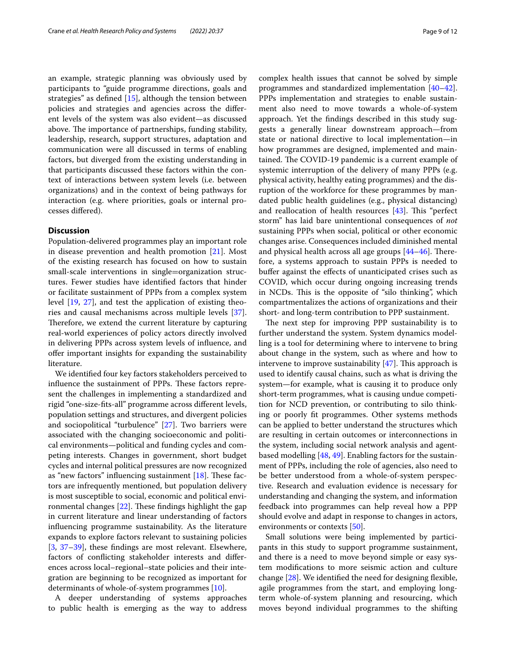an example, strategic planning was obviously used by participants to "guide programme directions, goals and strategies" as defned [[15\]](#page-10-13), although the tension between policies and strategies and agencies across the diferent levels of the system was also evident—as discussed above. The importance of partnerships, funding stability, leadership, research, support structures, adaptation and communication were all discussed in terms of enabling factors, but diverged from the existing understanding in that participants discussed these factors within the context of interactions between system levels (i.e. between organizations) and in the context of being pathways for interaction (e.g. where priorities, goals or internal processes difered).

#### **Discussion**

Population-delivered programmes play an important role in disease prevention and health promotion [[21\]](#page-10-19). Most of the existing research has focused on how to sustain small-scale interventions in single=organization structures. Fewer studies have identifed factors that hinder or facilitate sustainment of PPPs from a complex system level [\[19](#page-10-17), [27](#page-10-26)], and test the application of existing theories and causal mechanisms across multiple levels [\[37](#page-11-7)]. Therefore, we extend the current literature by capturing real-world experiences of policy actors directly involved in delivering PPPs across system levels of infuence, and ofer important insights for expanding the sustainability literature.

We identifed four key factors stakeholders perceived to influence the sustainment of PPPs. These factors represent the challenges in implementing a standardized and rigid "one-size-fts-all" programme across diferent levels, population settings and structures, and divergent policies and sociopolitical "turbulence" [\[27](#page-10-26)]. Two barriers were associated with the changing socioeconomic and political environments—political and funding cycles and competing interests. Changes in government, short budget cycles and internal political pressures are now recognized as "new factors" influencing sustainment  $[18]$  $[18]$  $[18]$ . These factors are infrequently mentioned, but population delivery is most susceptible to social, economic and political environmental changes  $[22]$  $[22]$ . These findings highlight the gap in current literature and linear understanding of factors infuencing programme sustainability. As the literature expands to explore factors relevant to sustaining policies [[3,](#page-10-2) [37–](#page-11-7)[39](#page-11-8)], these fndings are most relevant. Elsewhere, factors of conficting stakeholder interests and diferences across local–regional–state policies and their integration are beginning to be recognized as important for determinants of whole-of-system programmes [[10\]](#page-10-9).

A deeper understanding of systems approaches to public health is emerging as the way to address complex health issues that cannot be solved by simple programmes and standardized implementation [[40](#page-11-9)[–42](#page-11-10)]. PPPs implementation and strategies to enable sustainment also need to move towards a whole-of-system approach. Yet the fndings described in this study suggests a generally linear downstream approach—from state or national directive to local implementation—in how programmes are designed, implemented and maintained. The COVID-19 pandemic is a current example of systemic interruption of the delivery of many PPPs (e.g. physical activity, healthy eating programmes) and the disruption of the workforce for these programmes by mandated public health guidelines (e.g., physical distancing) and reallocation of health resources  $[43]$ . This "perfect storm" has laid bare unintentional consequences of *not* sustaining PPPs when social, political or other economic changes arise. Consequences included diminished mental and physical health across all age groups  $[44-46]$  $[44-46]$  $[44-46]$ . Therefore, a systems approach to sustain PPPs is needed to bufer against the efects of unanticipated crises such as COVID, which occur during ongoing increasing trends in NCDs. This is the opposite of "silo thinking", which compartmentalizes the actions of organizations and their short- and long-term contribution to PPP sustainment.

The next step for improving PPP sustainability is to further understand the system. System dynamics modelling is a tool for determining where to intervene to bring about change in the system, such as where and how to intervene to improve sustainability  $[47]$  $[47]$ . This approach is used to identify causal chains, such as what is driving the system—for example, what is causing it to produce only short-term programmes, what is causing undue competition for NCD prevention, or contributing to silo thinking or poorly ft programmes. Other systems methods can be applied to better understand the structures which are resulting in certain outcomes or interconnections in the system, including social network analysis and agentbased modelling [[48,](#page-11-15) [49](#page-11-16)]. Enabling factors for the sustainment of PPPs, including the role of agencies, also need to be better understood from a whole-of-system perspective. Research and evaluation evidence is necessary for understanding and changing the system, and information feedback into programmes can help reveal how a PPP should evolve and adapt in response to changes in actors, environments or contexts [[50](#page-11-17)].

Small solutions were being implemented by participants in this study to support programme sustainment, and there is a need to move beyond simple or easy system modifcations to more seismic action and culture change  $[28]$ . We identified the need for designing flexible, agile programmes from the start, and employing longterm whole-of-system planning and resourcing, which moves beyond individual programmes to the shifting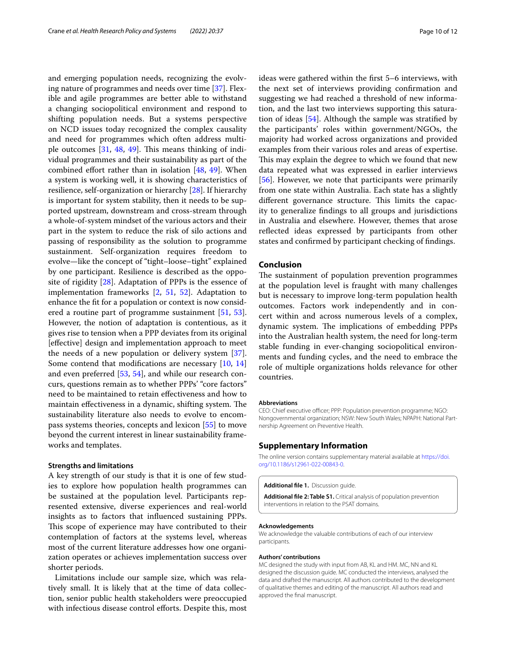and emerging population needs, recognizing the evolving nature of programmes and needs over time [[37](#page-11-7)]. Flexible and agile programmes are better able to withstand a changing sociopolitical environment and respond to shifting population needs. But a systems perspective on NCD issues today recognized the complex causality and need for programmes which often address multiple outcomes  $[31, 48, 49]$  $[31, 48, 49]$  $[31, 48, 49]$  $[31, 48, 49]$  $[31, 48, 49]$ . This means thinking of individual programmes and their sustainability as part of the combined effort rather than in isolation  $[48, 49]$  $[48, 49]$  $[48, 49]$  $[48, 49]$  $[48, 49]$ . When a system is working well, it is showing characteristics of resilience, self-organization or hierarchy [\[28\]](#page-10-27). If hierarchy is important for system stability, then it needs to be supported upstream, downstream and cross-stream through a whole-of-system mindset of the various actors and their part in the system to reduce the risk of silo actions and passing of responsibility as the solution to programme sustainment. Self-organization requires freedom to evolve—like the concept of "tight–loose–tight" explained by one participant. Resilience is described as the opposite of rigidity [[28\]](#page-10-27). Adaptation of PPPs is the essence of implementation frameworks [\[2](#page-10-1), [51,](#page-11-18) [52\]](#page-11-19). Adaptation to enhance the ft for a population or context is now considered a routine part of programme sustainment [[51,](#page-11-18) [53](#page-11-20)]. However, the notion of adaptation is contentious, as it gives rise to tension when a PPP deviates from its original [efective] design and implementation approach to meet the needs of a new population or delivery system [\[37](#page-11-7)]. Some contend that modifcations are necessary [[10,](#page-10-9) [14](#page-10-12)] and even preferred [\[53,](#page-11-20) [54\]](#page-11-21), and while our research concurs, questions remain as to whether PPPs' "core factors" need to be maintained to retain efectiveness and how to maintain effectiveness in a dynamic, shifting system. The sustainability literature also needs to evolve to encompass systems theories, concepts and lexicon [[55](#page-11-22)] to move beyond the current interest in linear sustainability frameworks and templates.

#### **Strengths and limitations**

A key strength of our study is that it is one of few studies to explore how population health programmes can be sustained at the population level. Participants represented extensive, diverse experiences and real-world insights as to factors that infuenced sustaining PPPs. This scope of experience may have contributed to their contemplation of factors at the systems level, whereas most of the current literature addresses how one organization operates or achieves implementation success over shorter periods.

Limitations include our sample size, which was relatively small. It is likely that at the time of data collection, senior public health stakeholders were preoccupied with infectious disease control efforts. Despite this, most ideas were gathered within the frst 5–6 interviews, with the next set of interviews providing confrmation and suggesting we had reached a threshold of new information, and the last two interviews supporting this saturation of ideas [[54\]](#page-11-21). Although the sample was stratifed by the participants' roles within government/NGOs, the majority had worked across organizations and provided examples from their various roles and areas of expertise. This may explain the degree to which we found that new data repeated what was expressed in earlier interviews [[56\]](#page-11-23). However, we note that participants were primarily from one state within Australia. Each state has a slightly different governance structure. This limits the capacity to generalize fndings to all groups and jurisdictions in Australia and elsewhere. However, themes that arose refected ideas expressed by participants from other states and confrmed by participant checking of fndings.

#### **Conclusion**

The sustainment of population prevention programmes at the population level is fraught with many challenges but is necessary to improve long-term population health outcomes. Factors work independently and in concert within and across numerous levels of a complex, dynamic system. The implications of embedding PPPs into the Australian health system, the need for long-term stable funding in ever-changing sociopolitical environments and funding cycles, and the need to embrace the role of multiple organizations holds relevance for other countries.

#### **Abbreviations**

CEO: Chief executive officer; PPP: Population prevention programme; NGO: Nongovernmental organization; NSW: New South Wales; NPAPH: National Partnership Agreement on Preventive Health.

#### **Supplementary Information**

The online version contains supplementary material available at [https://doi.](https://doi.org/10.1186/s12961-022-00843-0) [org/10.1186/s12961-022-00843-0](https://doi.org/10.1186/s12961-022-00843-0).

<span id="page-9-1"></span><span id="page-9-0"></span>**Additional fle 1.** Discussion guide.

**Additional fle 2: Table S1.** Critical analysis of population prevention interventions in relation to the PSAT domains.

#### **Acknowledgements**

We acknowledge the valuable contributions of each of our interview participants.

#### **Authors' contributions**

MC designed the study with input from AB, KL and HM. MC, NN and KL designed the discussion guide. MC conducted the interviews, analysed the data and drafted the manuscript. All authors contributed to the development of qualitative themes and editing of the manuscript. All authors read and approved the fnal manuscript.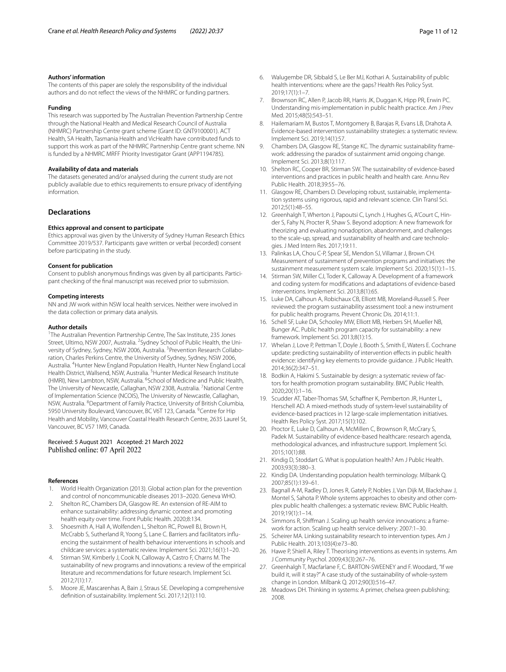#### **Authors' information**

The contents of this paper are solely the responsibility of the individual authors and do not refect the views of the NHMRC or funding partners.

#### **Funding**

This research was supported by The Australian Prevention Partnership Centre through the National Health and Medical Research Council of Australia (NHMRC) Partnership Centre grant scheme (Grant ID: GNT9100001). ACT Health, SA Health, Tasmania Health and VicHealth have contributed funds to support this work as part of the NHMRC Partnership Centre grant scheme. NN is funded by a NHMRC MRFF Priority Investigator Grant (APP1194785).

#### **Availability of data and materials**

The datasets generated and/or analysed during the current study are not publicly available due to ethics requirements to ensure privacy of identifying information.

#### **Declarations**

#### **Ethics approval and consent to participate**

Ethics approval was given by the University of Sydney Human Research Ethics Committee 2019/537. Participants gave written or verbal (recorded) consent before participating in the study.

#### **Consent for publication**

Consent to publish anonymous fndings was given by all participants. Participant checking of the fnal manuscript was received prior to submission.

#### **Competing interests**

NN and JW work within NSW local health services. Neither were involved in the data collection or primary data analysis.

#### **Author details**

<sup>1</sup>The Australian Prevention Partnership Centre, The Sax Institute, 235 Jones Street, Ultimo, NSW 2007, Australia. <sup>2</sup>Sydney School of Public Health, the University of Sydney, Sydney, NSW 2006, Australia. <sup>3</sup> Prevention Research Collaboration, Charles Perkins Centre, the University of Sydney, Sydney, NSW 2006, Australia. <sup>4</sup> Hunter New England Population Health, Hunter New England Local Health District, Wallsend, NSW, Australia. <sup>5</sup> Hunter Medical Research Institute (HMRI), New Lambton, NSW, Australia. <sup>6</sup>School of Medicine and Public Health, The University of Newcastle, Callaghan, NSW 2308, Australia. <sup>7</sup>National Centre of Implementation Science (NCOIS), The University of Newcastle, Callaghan, NSW, Australia. <sup>8</sup>Department of Family Practice, University of British Columbia, 5950 University Boulevard, Vancouver, BC V6T 123, Canada. <sup>9</sup>Centre for Hip Health and Mobility, Vancouver Coastal Health Research Centre, 2635 Laurel St, Vancouver, BC V57 1M9, Canada.

#### Received: 5 August 2021 Accepted: 21 March 2022 Published online: 07 April 2022

#### **References**

- <span id="page-10-0"></span>1. World Health Organization (2013). Global action plan for the prevention and control of noncommunicable diseases 2013–2020. Geneva WHO.
- <span id="page-10-1"></span>2. Shelton RC, Chambers DA, Glasgow RE. An extension of RE-AIM to enhance sustainability: addressing dynamic context and promoting health equity over time. Front Public Health. 2020;8:134.
- <span id="page-10-2"></span>3. Shoesmith A, Hall A, Wolfenden L, Shelton RC, Powell BJ, Brown H, McCrabb S, Sutherland R, Yoong S, Lane C. Barriers and facilitators infuencing the sustainment of health behaviour interventions in schools and childcare services: a systematic review. Implement Sci. 2021;16(1):1–20.
- <span id="page-10-3"></span>4. Stirman SW, Kimberly J, Cook N, Calloway A, Castro F, Charns M. The sustainability of new programs and innovations: a review of the empirical literature and recommendations for future research. Implement Sci. 2012;7(1):17.
- <span id="page-10-4"></span>5. Moore JE, Mascarenhas A, Bain J, Straus SE. Developing a comprehensive defnition of sustainability. Implement Sci. 2017;12(1):110.
- <span id="page-10-6"></span><span id="page-10-5"></span>7. Brownson RC, Allen P, Jacob RR, Harris JK, Duggan K, Hipp PR, Erwin PC. Understanding mis-implementation in public health practice. Am J Prev Med. 2015;48(5):543–51.
- <span id="page-10-7"></span>8. Hailemariam M, Bustos T, Montgomery B, Barajas R, Evans LB, Drahota A. Evidence-based intervention sustainability strategies: a systematic review. Implement Sci. 2019;14(1):57.
- <span id="page-10-8"></span>9. Chambers DA, Glasgow RE, Stange KC. The dynamic sustainability framework: addressing the paradox of sustainment amid ongoing change. Implement Sci. 2013;8(1):117.
- <span id="page-10-9"></span>10. Shelton RC, Cooper BR, Stirman SW. The sustainability of evidence-based interventions and practices in public health and health care. Annu Rev Public Health. 2018;39:55–76.
- <span id="page-10-10"></span>11. Glasgow RE, Chambers D. Developing robust, sustainable, implementation systems using rigorous, rapid and relevant science. Clin Transl Sci. 2012;5(1):48–55.
- <span id="page-10-11"></span>12. Greenhalgh T, Wherton J, Papoutsi C, Lynch J, Hughes G, A'Court C, Hinder S, Fahy N, Procter R, Shaw S. Beyond adoption: A new framework for theorizing and evaluating nonadoption, abandonment, and challenges to the scale-up, spread, and sustainability of health and care technologies. J Med Intern Res. 2017;19:11.
- <span id="page-10-23"></span>13. Palinkas LA, Chou C-P, Spear SE, Mendon SJ, Villamar J, Brown CH. Measurement of sustainment of prevention programs and initiatives: the sustainment measurement system scale. Implement Sci. 2020;15(1):1–15.
- <span id="page-10-12"></span>14. Stirman SW, Miller CJ, Toder K, Calloway A. Development of a framework and coding system for modifcations and adaptations of evidence-based interventions. Implement Sci. 2013;8(1):65.
- <span id="page-10-13"></span>15. Luke DA, Calhoun A, Robichaux CB, Elliott MB, Moreland-Russell S. Peer reviewed: the program sustainability assessment tool: a new instrument for public health programs. Prevent Chronic Dis. 2014;11:1.
- <span id="page-10-14"></span>16. Schell SF, Luke DA, Schooley MW, Elliott MB, Herbers SH, Mueller NB, Bunger AC. Public health program capacity for sustainability: a new framework. Implement Sci. 2013;8(1):15.
- <span id="page-10-15"></span>17. Whelan J, Love P, Pettman T, Doyle J, Booth S, Smith E, Waters E. Cochrane update: predicting sustainability of intervention efects in public health evidence: identifying key elements to provide guidance. J Public Health. 2014;36(2):347–51.
- <span id="page-10-16"></span>18. Bodkin A, Hakimi S. Sustainable by design: a systematic review of factors for health promotion program sustainability. BMC Public Health. 2020;20(1):1–16.
- <span id="page-10-17"></span>19. Scudder AT, Taber-Thomas SM, Schaffner K, Pemberton JR, Hunter L, Herschell AD. A mixed-methods study of system-level sustainability of evidence-based practices in 12 large-scale implementation initiatives. Health Res Policy Syst. 2017;15(1):102.
- <span id="page-10-18"></span>20. Proctor E, Luke D, Calhoun A, McMillen C, Brownson R, McCrary S, Padek M. Sustainability of evidence-based healthcare: research agenda, methodological advances, and infrastructure support. Implement Sci. 2015;10(1):88.
- <span id="page-10-19"></span>21. Kindig D, Stoddart G. What is population health? Am J Public Health. 2003;93(3):380–3.
- <span id="page-10-20"></span>22. Kindig DA. Understanding population health terminology. Milbank Q. 2007;85(1):139–61.
- <span id="page-10-21"></span>23. Bagnall A-M, Radley D, Jones R, Gately P, Nobles J, Van Dijk M, Blackshaw J, Montel S, Sahota P. Whole systems approaches to obesity and other complex public health challenges: a systematic review. BMC Public Health. 2019;19(1):1–14.
- <span id="page-10-22"></span>24. Simmons R, Shifman J. Scaling up health service innovations: a framework for action. Scaling up health service delivery: 2007:1–30.
- <span id="page-10-24"></span>25. Scheirer MA. Linking sustainability research to intervention types. Am J Public Health. 2013;103(4):e73–80.
- <span id="page-10-25"></span>26. Hawe P, Shiell A, Riley T. Theorising interventions as events in systems. Am J Community Psychol. 2009;43(3):267–76.
- <span id="page-10-26"></span>27. Greenhalgh T, Macfarlane F, C. BARTON-SWEENEY and F. Woodard, "If we build it, will it stay?" A case study of the sustainability of whole-system change in London. Milbank Q. 2012;90(3):516–47.
- <span id="page-10-27"></span>28. Meadows DH. Thinking in systems: A primer, chelsea green publishing; 2008.